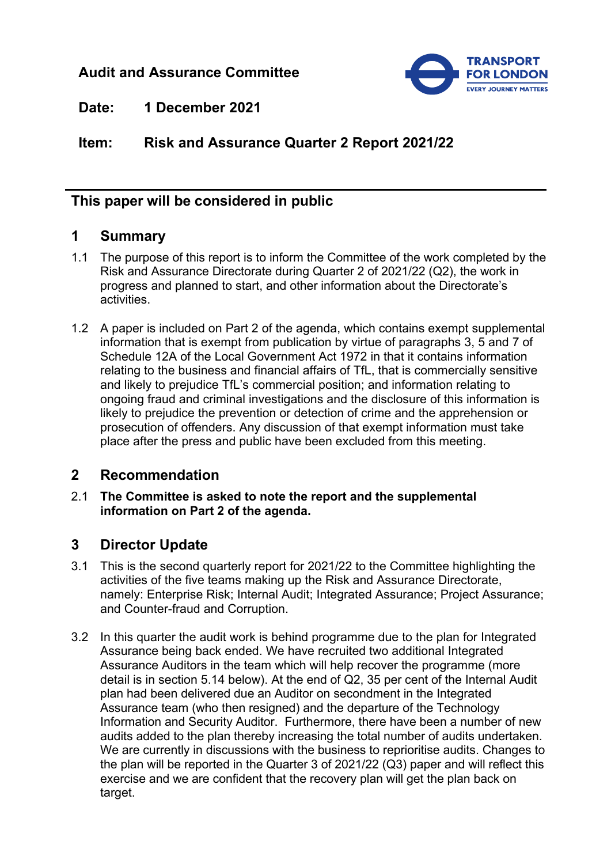# **Audit and Assurance Committee**



**Date: 1 December 2021**

**Item: Risk and Assurance Quarter 2 Report 2021/22**

# **This paper will be considered in public**

### **1 Summary**

- 1.1 The purpose of this report is to inform the Committee of the work completed by the Risk and Assurance Directorate during Quarter 2 of 2021/22 (Q2), the work in progress and planned to start, and other information about the Directorate's activities.
- 1.2 A paper is included on Part 2 of the agenda, which contains exempt supplemental information that is exempt from publication by virtue of paragraphs 3, 5 and 7 of Schedule 12A of the Local Government Act 1972 in that it contains information relating to the business and financial affairs of TfL, that is commercially sensitive and likely to prejudice TfL's commercial position; and information relating to ongoing fraud and criminal investigations and the disclosure of this information is likely to prejudice the prevention or detection of crime and the apprehension or prosecution of offenders. Any discussion of that exempt information must take place after the press and public have been excluded from this meeting.

# **2 Recommendation**

2.1 **The Committee is asked to note the report and the supplemental information on Part 2 of the agenda.**

# **3 Director Update**

- 3.1 This is the second quarterly report for 2021/22 to the Committee highlighting the activities of the five teams making up the Risk and Assurance Directorate, namely: Enterprise Risk; Internal Audit; Integrated Assurance; Project Assurance; and Counter-fraud and Corruption.
- 3.2 In this quarter the audit work is behind programme due to the plan for Integrated Assurance being back ended. We have recruited two additional Integrated Assurance Auditors in the team which will help recover the programme (more detail is in section 5.14 below). At the end of Q2, 35 per cent of the Internal Audit plan had been delivered due an Auditor on secondment in the Integrated Assurance team (who then resigned) and the departure of the Technology Information and Security Auditor. Furthermore, there have been a number of new audits added to the plan thereby increasing the total number of audits undertaken. We are currently in discussions with the business to reprioritise audits. Changes to the plan will be reported in the Quarter 3 of 2021/22 (Q3) paper and will reflect this exercise and we are confident that the recovery plan will get the plan back on target.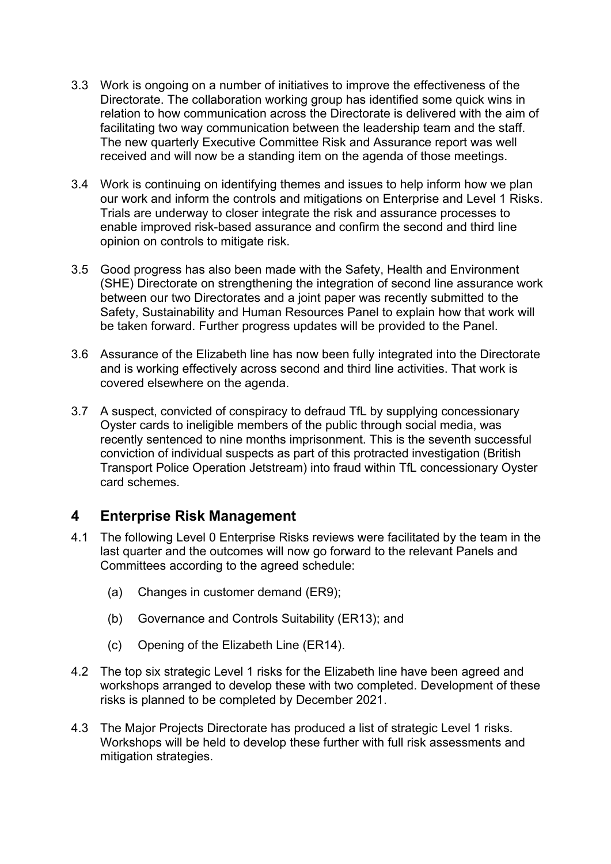- 3.3 Work is ongoing on a number of initiatives to improve the effectiveness of the Directorate. The collaboration working group has identified some quick wins in relation to how communication across the Directorate is delivered with the aim of facilitating two way communication between the leadership team and the staff. The new quarterly Executive Committee Risk and Assurance report was well received and will now be a standing item on the agenda of those meetings.
- 3.4 Work is continuing on identifying themes and issues to help inform how we plan our work and inform the controls and mitigations on Enterprise and Level 1 Risks. Trials are underway to closer integrate the risk and assurance processes to enable improved risk-based assurance and confirm the second and third line opinion on controls to mitigate risk.
- 3.5 Good progress has also been made with the Safety, Health and Environment (SHE) Directorate on strengthening the integration of second line assurance work between our two Directorates and a joint paper was recently submitted to the Safety, Sustainability and Human Resources Panel to explain how that work will be taken forward. Further progress updates will be provided to the Panel.
- 3.6 Assurance of the Elizabeth line has now been fully integrated into the Directorate and is working effectively across second and third line activities. That work is covered elsewhere on the agenda.
- 3.7 A suspect, convicted of conspiracy to defraud TfL by supplying concessionary Oyster cards to ineligible members of the public through social media, was recently sentenced to nine months imprisonment. This is the seventh successful conviction of individual suspects as part of this protracted investigation (British Transport Police Operation Jetstream) into fraud within TfL concessionary Oyster card schemes.

# **4 Enterprise Risk Management**

- 4.1 The following Level 0 Enterprise Risks reviews were facilitated by the team in the last quarter and the outcomes will now go forward to the relevant Panels and Committees according to the agreed schedule:
	- (a) Changes in customer demand (ER9);
	- (b) Governance and Controls Suitability (ER13); and
	- (c) Opening of the Elizabeth Line (ER14).
- 4.2 The top six strategic Level 1 risks for the Elizabeth line have been agreed and workshops arranged to develop these with two completed. Development of these risks is planned to be completed by December 2021.
- 4.3 The Major Projects Directorate has produced a list of strategic Level 1 risks. Workshops will be held to develop these further with full risk assessments and mitigation strategies.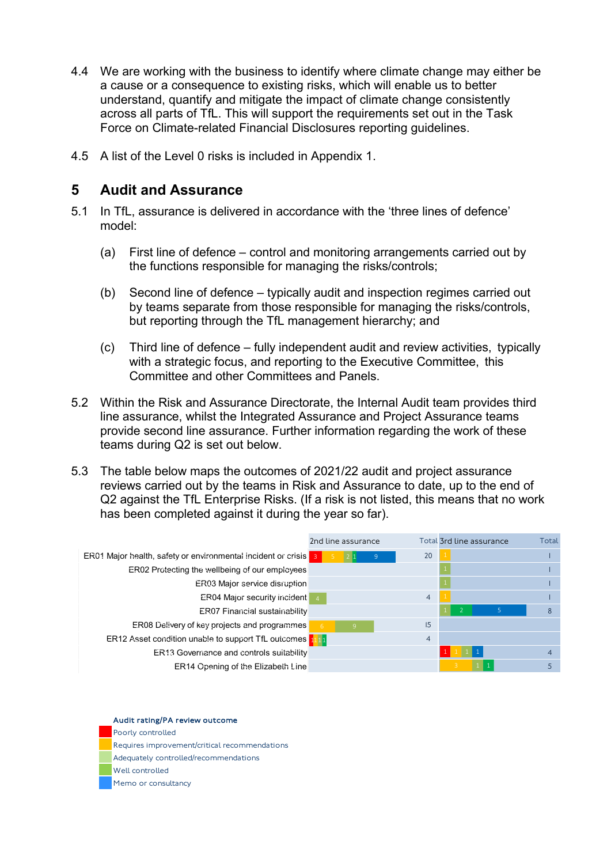- 4.4 We are working with the business to identify where climate change may either be a cause or a consequence to existing risks, which will enable us to better understand, quantify and mitigate the impact of climate change consistently across all parts of TfL. This will support the requirements set out in the Task Force on Climate-related Financial Disclosures reporting guidelines.
- 4.5 A list of the Level 0 risks is included in Appendix 1.

### **5 Audit and Assurance**

- 5.1 In TfL, assurance is delivered in accordance with the 'three lines of defence' model:
	- (a) First line of defence control and monitoring arrangements carried out by the functions responsible for managing the risks/controls;
	- (b) Second line of defence typically audit and inspection regimes carried out by teams separate from those responsible for managing the risks/controls, but reporting through the TfL management hierarchy; and
	- (c) Third line of defence fully independent audit and review activities, typically with a strategic focus, and reporting to the Executive Committee, this Committee and other Committees and Panels.
- 5.2 Within the Risk and Assurance Directorate, the Internal Audit team provides third line assurance, whilst the Integrated Assurance and Project Assurance teams provide second line assurance. Further information regarding the work of these teams during Q2 is set out below.
- 5.3 The table below maps the outcomes of 2021/22 audit and project assurance reviews carried out by the teams in Risk and Assurance to date, up to the end of Q2 against the TfL Enterprise Risks. (If a risk is not listed, this means that no work has been completed against it during the year so far).



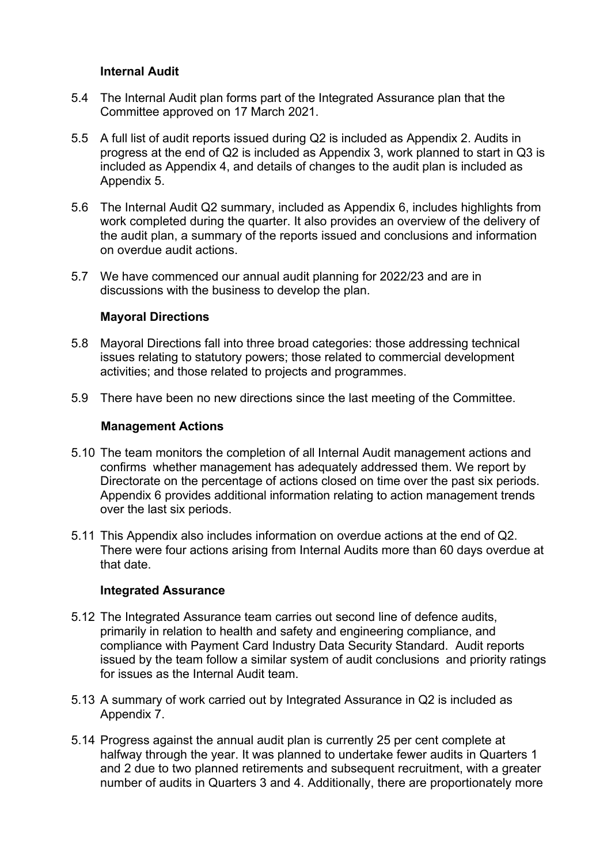### **Internal Audit**

- 5.4 The Internal Audit plan forms part of the Integrated Assurance plan that the Committee approved on 17 March 2021.
- 5.5 A full list of audit reports issued during Q2 is included as Appendix 2. Audits in progress at the end of Q2 is included as Appendix 3, work planned to start in Q3 is included as Appendix 4, and details of changes to the audit plan is included as Appendix 5.
- 5.6 The Internal Audit Q2 summary, included as Appendix 6, includes highlights from work completed during the quarter. It also provides an overview of the delivery of the audit plan, a summary of the reports issued and conclusions and information on overdue audit actions.
- 5.7 We have commenced our annual audit planning for 2022/23 and are in discussions with the business to develop the plan.

#### **Mayoral Directions**

- 5.8 Mayoral Directions fall into three broad categories: those addressing technical issues relating to statutory powers; those related to commercial development activities; and those related to projects and programmes.
- 5.9 There have been no new directions since the last meeting of the Committee.

#### **Management Actions**

- 5.10 The team monitors the completion of all Internal Audit management actions and confirms whether management has adequately addressed them. We report by Directorate on the percentage of actions closed on time over the past six periods. Appendix 6 provides additional information relating to action management trends over the last six periods.
- 5.11 This Appendix also includes information on overdue actions at the end of Q2. There were four actions arising from Internal Audits more than 60 days overdue at that date.

### **Integrated Assurance**

- 5.12 The Integrated Assurance team carries out second line of defence audits, primarily in relation to health and safety and engineering compliance, and compliance with Payment Card Industry Data Security Standard. Audit reports issued by the team follow a similar system of audit conclusions and priority ratings for issues as the Internal Audit team.
- 5.13 A summary of work carried out by Integrated Assurance in Q2 is included as Appendix 7.
- 5.14 Progress against the annual audit plan is currently 25 per cent complete at halfway through the year. It was planned to undertake fewer audits in Quarters 1 and 2 due to two planned retirements and subsequent recruitment, with a greater number of audits in Quarters 3 and 4. Additionally, there are proportionately more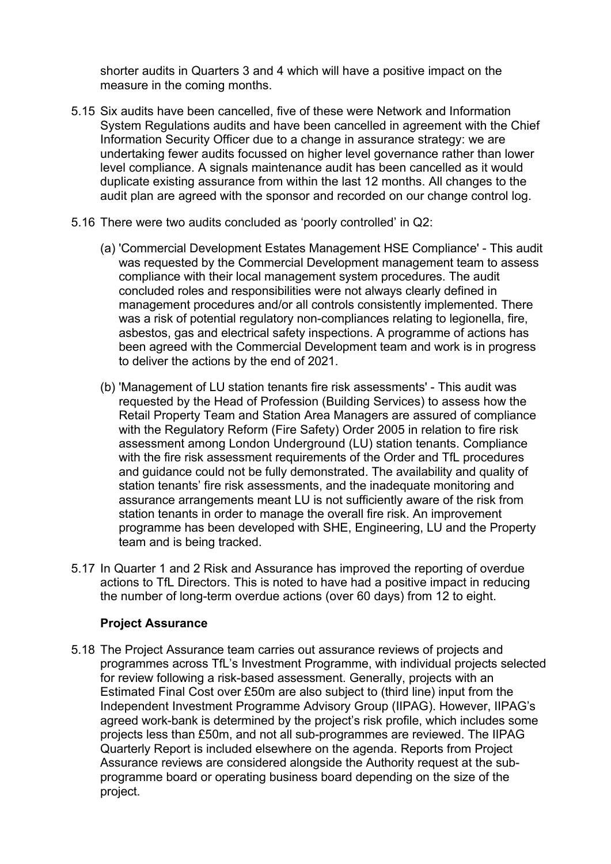shorter audits in Quarters 3 and 4 which will have a positive impact on the measure in the coming months.

- 5.15 Six audits have been cancelled, five of these were Network and Information System Regulations audits and have been cancelled in agreement with the Chief Information Security Officer due to a change in assurance strategy: we are undertaking fewer audits focussed on higher level governance rather than lower level compliance. A signals maintenance audit has been cancelled as it would duplicate existing assurance from within the last 12 months. All changes to the audit plan are agreed with the sponsor and recorded on our change control log.
- 5.16 There were two audits concluded as 'poorly controlled' in Q2:
	- (a) 'Commercial Development Estates Management HSE Compliance' This audit was requested by the Commercial Development management team to assess compliance with their local management system procedures. The audit concluded roles and responsibilities were not always clearly defined in management procedures and/or all controls consistently implemented. There was a risk of potential regulatory non-compliances relating to legionella, fire, asbestos, gas and electrical safety inspections. A programme of actions has been agreed with the Commercial Development team and work is in progress to deliver the actions by the end of 2021.
	- (b) 'Management of LU station tenants fire risk assessments' This audit was requested by the Head of Profession (Building Services) to assess how the Retail Property Team and Station Area Managers are assured of compliance with the Regulatory Reform (Fire Safety) Order 2005 in relation to fire risk assessment among London Underground (LU) station tenants. Compliance with the fire risk assessment requirements of the Order and TfL procedures and guidance could not be fully demonstrated. The availability and quality of station tenants' fire risk assessments, and the inadequate monitoring and assurance arrangements meant LU is not sufficiently aware of the risk from station tenants in order to manage the overall fire risk. An improvement programme has been developed with SHE, Engineering, LU and the Property team and is being tracked.
- 5.17 In Quarter 1 and 2 Risk and Assurance has improved the reporting of overdue actions to TfL Directors. This is noted to have had a positive impact in reducing the number of long-term overdue actions (over 60 days) from 12 to eight.

### **Project Assurance**

5.18 The Project Assurance team carries out assurance reviews of projects and programmes across TfL's Investment Programme, with individual projects selected for review following a risk-based assessment. Generally, projects with an Estimated Final Cost over £50m are also subject to (third line) input from the Independent Investment Programme Advisory Group (IIPAG). However, IIPAG's agreed work-bank is determined by the project's risk profile, which includes some projects less than £50m, and not all sub-programmes are reviewed. The IIPAG Quarterly Report is included elsewhere on the agenda. Reports from Project Assurance reviews are considered alongside the Authority request at the subprogramme board or operating business board depending on the size of the project.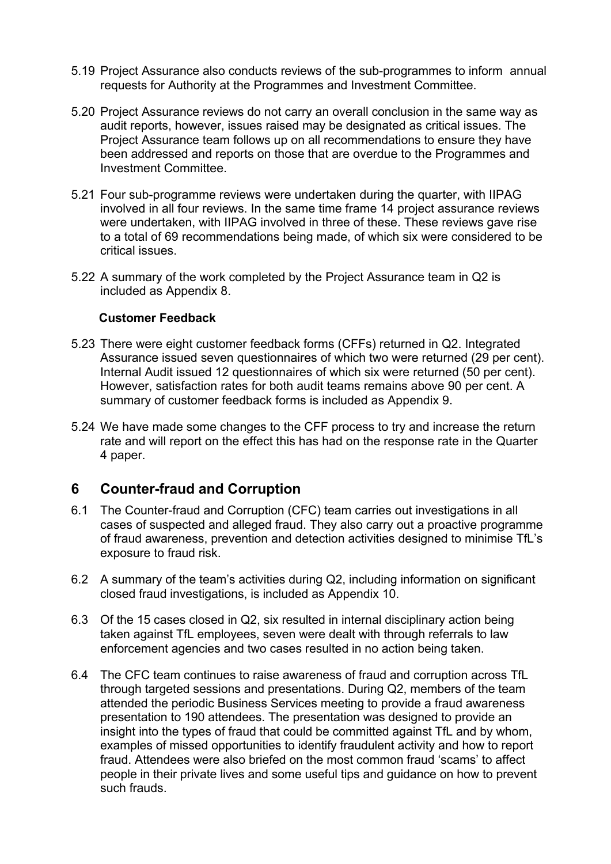- 5.19 Project Assurance also conducts reviews of the sub-programmes to inform annual requests for Authority at the Programmes and Investment Committee.
- 5.20 Project Assurance reviews do not carry an overall conclusion in the same way as audit reports, however, issues raised may be designated as critical issues. The Project Assurance team follows up on all recommendations to ensure they have been addressed and reports on those that are overdue to the Programmes and Investment Committee.
- 5.21 Four sub-programme reviews were undertaken during the quarter, with IIPAG involved in all four reviews. In the same time frame 14 project assurance reviews were undertaken, with IIPAG involved in three of these. These reviews gave rise to a total of 69 recommendations being made, of which six were considered to be critical issues.
- 5.22 A summary of the work completed by the Project Assurance team in Q2 is included as Appendix 8.

### **Customer Feedback**

- 5.23 There were eight customer feedback forms (CFFs) returned in Q2. Integrated Assurance issued seven questionnaires of which two were returned (29 per cent). Internal Audit issued 12 questionnaires of which six were returned (50 per cent). However, satisfaction rates for both audit teams remains above 90 per cent. A summary of customer feedback forms is included as Appendix 9.
- 5.24 We have made some changes to the CFF process to try and increase the return rate and will report on the effect this has had on the response rate in the Quarter 4 paper.

# **6 Counter-fraud and Corruption**

- 6.1 The Counter-fraud and Corruption (CFC) team carries out investigations in all cases of suspected and alleged fraud. They also carry out a proactive programme of fraud awareness, prevention and detection activities designed to minimise TfL's exposure to fraud risk.
- 6.2 A summary of the team's activities during Q2, including information on significant closed fraud investigations, is included as Appendix 10.
- 6.3 Of the 15 cases closed in Q2, six resulted in internal disciplinary action being taken against TfL employees, seven were dealt with through referrals to law enforcement agencies and two cases resulted in no action being taken.
- 6.4 The CFC team continues to raise awareness of fraud and corruption across TfL through targeted sessions and presentations. During Q2, members of the team attended the periodic Business Services meeting to provide a fraud awareness presentation to 190 attendees. The presentation was designed to provide an insight into the types of fraud that could be committed against TfL and by whom, examples of missed opportunities to identify fraudulent activity and how to report fraud. Attendees were also briefed on the most common fraud 'scams' to affect people in their private lives and some useful tips and guidance on how to prevent such frauds.